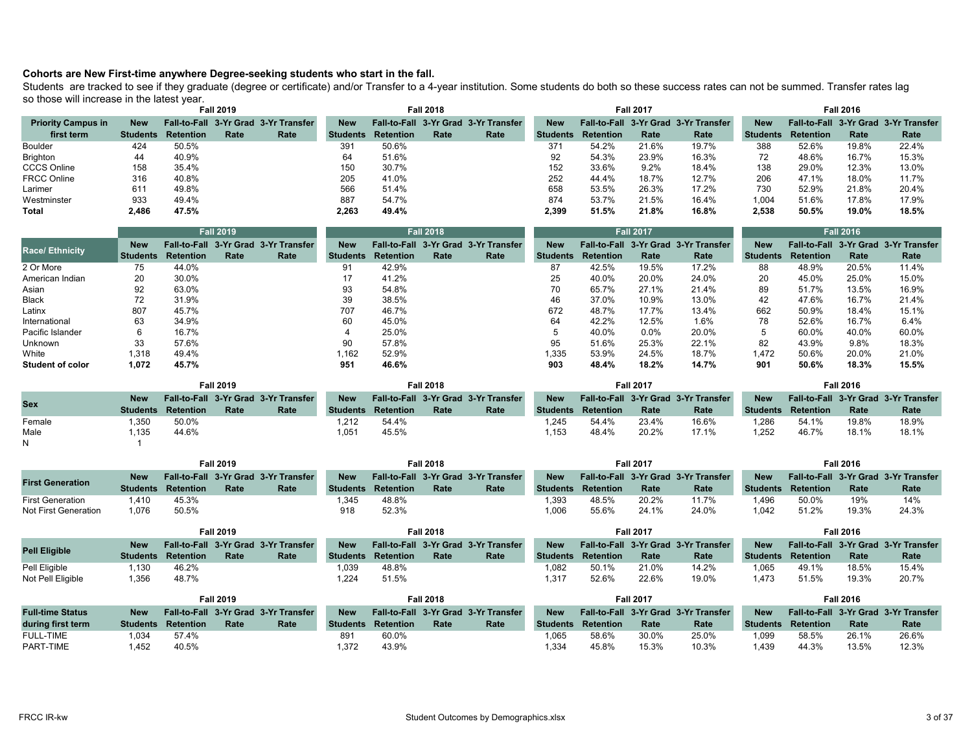## **Cohorts are New First-time anywhere Degree-seeking students who start in the fall.**

Students are tracked to see if they graduate (degree or certificate) and/or Transfer to a 4-year institution. Some students do both so these success rates can not be summed. Transfer rates lag so those will increase in the latest year.

|                           |            |                           | <b>Fall 2019</b> |                                      |            |                  | <b>Fall 2018</b> |                                      |            |                  | <b>Fall 2017</b> |                                      |            |                  | <b>Fall 2016</b> |                                      |
|---------------------------|------------|---------------------------|------------------|--------------------------------------|------------|------------------|------------------|--------------------------------------|------------|------------------|------------------|--------------------------------------|------------|------------------|------------------|--------------------------------------|
| <b>Priority Campus in</b> | <b>New</b> |                           |                  | Fall-to-Fall 3-Yr Grad 3-Yr Transfer | <b>New</b> |                  |                  | Fall-to-Fall 3-Yr Grad 3-Yr Transfer | <b>New</b> |                  |                  | Fall-to-Fall 3-Yr Grad 3-Yr Transfer | <b>New</b> |                  |                  | Fall-to-Fall 3-Yr Grad 3-Yr Transfer |
| first term                |            | <b>Students Retention</b> | Rate             | Rate                                 | Students   | <b>Retention</b> | Rate             | Rate                                 | Students   | <b>Retention</b> | Rate             | Rate                                 | Students   | <b>Retention</b> | Rate             | Rate                                 |
| Boulder                   | 424        | 50.5%                     |                  |                                      | 391        | 50.6%            |                  |                                      | 371        | 54.2%            | 21.6%            | 19.7%                                | 388        | 52.6%            | 19.8%            | 22.4%                                |
| Brighton                  | 44         | 40.9%                     |                  |                                      | 64         | 51.6%            |                  |                                      | 92         | 54.3%            | 23.9%            | 16.3%                                | 72         | 48.6%            | 16.7%            | 15.3%                                |
| <b>CCCS Online</b>        | 158        | 35.4%                     |                  |                                      | 150        | 30.7%            |                  |                                      | 152        | 33.6%            | 9.2%             | 18.4%                                | 138        | 29.0%            | 12.3%            | 13.0%                                |
| <b>FRCC Online</b>        | 316        | 40.8%                     |                  |                                      | 205        | 41.0%            |                  |                                      | 252        | 44.4%            | 18.7%            | 12.7%                                | 206        | 47.1%            | 18.0%            | 11.7%                                |
| Larimer                   | 611        | 49.8%                     |                  |                                      | 566        | 51.4%            |                  |                                      | 658        | 53.5%            | 26.3%            | 17.2%                                | 730        | 52.9%            | 21.8%            | 20.4%                                |
| Westminster               | 933        | 49.4%                     |                  |                                      | 887        | 54.7%            |                  |                                      | 874        | 53.7%            | 21.5%            | 16.4%                                | 1.004      | 51.6%            | 17.8%            | 17.9%                                |
| <b>Total</b>              | 2.486      | 47.5%                     |                  |                                      | 2,263      | 49.4%            |                  |                                      | 2.399      | 51.5%            | 21.8%            | 16.8%                                | 2.538      | 50.5%            | 19.0%            | 18.5%                                |

|                         |            |           | <b>Fall 2019</b> |                                      |            |                  | <b>Fall 2018</b> |                                      |            |                  | <b>Fall 2017</b> |                                      |            |                  | <b>Fall 2016</b> |                                      |
|-------------------------|------------|-----------|------------------|--------------------------------------|------------|------------------|------------------|--------------------------------------|------------|------------------|------------------|--------------------------------------|------------|------------------|------------------|--------------------------------------|
|                         | <b>New</b> |           |                  | Fall-to-Fall 3-Yr Grad 3-Yr Transfer | <b>New</b> |                  |                  | Fall-to-Fall 3-Yr Grad 3-Yr Transfer | <b>New</b> |                  |                  | Fall-to-Fall 3-Yr Grad 3-Yr Transfer | <b>New</b> |                  |                  | Fall-to-Fall 3-Yr Grad 3-Yr Transfer |
| <b>Race/Ethnicity</b>   | ⊿ Students | Retention | Rate             | Rate                                 | Students   | <b>Retention</b> | Rate             | Rate                                 | Students   | <b>Retention</b> | Rate             | Rate                                 | Students   | <b>Retention</b> | Rate             | Rate                                 |
| 2 Or More               | 75         | 44.0%     |                  |                                      | 91         | 42.9%            |                  |                                      | 87         | 42.5%            | 19.5%            | 17.2%                                | 88         | 48.9%            | 20.5%            | 11.4%                                |
| American Indian         | 20         | 30.0%     |                  |                                      | 17         | 41.2%            |                  |                                      | 25         | 40.0%            | 20.0%            | 24.0%                                | 20         | 45.0%            | 25.0%            | 15.0%                                |
| Asian                   | 92         | 63.0%     |                  |                                      | 93         | 54.8%            |                  |                                      | 70         | 65.7%            | 27.1%            | 21.4%                                | 89         | 51.7%            | 13.5%            | 16.9%                                |
| <b>Black</b>            | 72         | 31.9%     |                  |                                      | 39         | 38.5%            |                  |                                      | 46         | 37.0%            | 10.9%            | 13.0%                                | 42         | 47.6%            | 16.7%            | 21.4%                                |
| Latinx                  | 807        | 45.7%     |                  |                                      | 707        | 46.7%            |                  |                                      | 672        | 48.7%            | 17.7%            | 13.4%                                | 662        | 50.9%            | 18.4%            | 15.1%                                |
| International           | 63         | 34.9%     |                  |                                      | 60         | 45.0%            |                  |                                      | 64         | 42.2%            | 12.5%            | 1.6%                                 | 78         | 52.6%            | 16.7%            | 6.4%                                 |
| Pacific Islander        |            | 16.7%     |                  |                                      |            | 25.0%            |                  |                                      |            | 40.0%            | $0.0\%$          | 20.0%                                | 5          | 60.0%            | 40.0%            | 60.0%                                |
| Unknown                 | 33         | 57.6%     |                  |                                      | 90         | 57.8%            |                  |                                      | 95         | 51.6%            | 25.3%            | 22.1%                                | 82         | 43.9%            | 9.8%             | 18.3%                                |
| White                   | 1.318      | 49.4%     |                  |                                      | 1.162      | 52.9%            |                  |                                      | 1.335      | 53.9%            | 24.5%            | 18.7%                                | 1.472      | 50.6%            | 20.0%            | 21.0%                                |
| <b>Student of color</b> | 1.072      | 45.7%     |                  |                                      | 951        | 46.6%            |                  |                                      | 903        | 48.4%            | 18.2%            | 14.7%                                | 901        | 50.6%            | 18.3%            | 15.5%                                |

|            |            |                           | <b>Fall 2019</b> |                                      |                 |           | <b>Fall 2018</b> |                                      |                 |                  | <b>Fall 2017</b> |                                      |                 |           | <b>Fall 2016</b> |                                      |
|------------|------------|---------------------------|------------------|--------------------------------------|-----------------|-----------|------------------|--------------------------------------|-----------------|------------------|------------------|--------------------------------------|-----------------|-----------|------------------|--------------------------------------|
| <b>Sex</b> | <b>New</b> |                           |                  | Fall-to-Fall 3-Yr Grad 3-Yr Transfer | <b>New</b>      |           |                  | Fall-to-Fall 3-Yr Grad 3-Yr Transfer | <b>New</b>      |                  |                  | Fall-to-Fall 3-Yr Grad 3-Yr Transfer | <b>New</b>      |           |                  | Fall-to-Fall 3-Yr Grad 3-Yr Transfer |
|            |            | <b>Students Retention</b> | Rate             | Rate                                 | <b>Students</b> | Retention | Rate             | Rate                                 | <b>Students</b> | <b>Retention</b> | Rate             | Rate                                 | <b>Students</b> | Retention | Rate             | Rate                                 |
| Female     | .350       | 50.0%                     |                  |                                      | 1.212           | 54.4%     |                  |                                      | 1.245           | 54.4%            | 23.4%            | 16.6%                                | 1.286           | 54.1%     | 19.8%            | 18.9%                                |
| Male       | .135       | 44.6%                     |                  |                                      | 1,051           | 45.5%     |                  |                                      | 1.153           | 48.4%            | 20.2%            | 17.1%                                | 1.252           | 46.7%     | 18.1%            | 18.1%                                |
|            |            |                           |                  |                                      |                 |           |                  |                                      |                 |                  |                  |                                      |                 |           |                  |                                      |

|                         |            |                           | <b>Fall 2019</b> |                                      |                 |                  | <b>Fall 2018</b> |                                      |                 |                  | <b>Fall 2017</b> |                                      |                 |                  | <b>Fall 2016</b> |                                      |
|-------------------------|------------|---------------------------|------------------|--------------------------------------|-----------------|------------------|------------------|--------------------------------------|-----------------|------------------|------------------|--------------------------------------|-----------------|------------------|------------------|--------------------------------------|
|                         | <b>New</b> |                           |                  | Fall-to-Fall 3-Yr Grad 3-Yr Transfer | <b>New</b>      |                  |                  | Fall-to-Fall 3-Yr Grad 3-Yr Transfer | <b>New</b>      |                  |                  | Fall-to-Fall 3-Yr Grad 3-Yr Transfer | <b>New</b>      |                  |                  | Fall-to-Fall 3-Yr Grad 3-Yr Transfer |
| <b>First Generation</b> |            | <b>Students Retention</b> | Rate             | Rate                                 | <b>Students</b> | <b>Retention</b> | Rate             | Rate                                 | <b>Students</b> | <b>Retention</b> | Rate             | Rate                                 | <b>Students</b> | <b>Retention</b> | Rate             | Rate                                 |
| <b>First Generation</b> | .410       | 45.3%                     |                  |                                      | 1.345           | 48.8%            |                  |                                      | 1.393           | 48.5%            | 20.2%            | 11.7%                                | l.496           | 50.0%            | 19%              | 14%                                  |
| Not First Generation    | 1.076      | 50.5%                     |                  |                                      | 918             | 52.3%            |                  |                                      | 1.006           | 55.6%            | 24.1%            | 24.0%                                | 1,042           | 51.2%            | 19.3%            | 24.3%                                |

|                      |            |                           | Fall 2019 |                                      |                 |           | <b>Fall 2018</b> |                                      |            |           | <b>Fall 2017</b> |                                      |                 |           | <b>Fall 2016</b> |                                      |
|----------------------|------------|---------------------------|-----------|--------------------------------------|-----------------|-----------|------------------|--------------------------------------|------------|-----------|------------------|--------------------------------------|-----------------|-----------|------------------|--------------------------------------|
| <b>Pell Eligible</b> | <b>New</b> |                           |           | Fall-to-Fall 3-Yr Grad 3-Yr Transfer | <b>New</b>      |           |                  | Fall-to-Fall 3-Yr Grad 3-Yr Transfer | <b>New</b> |           |                  | Fall-to-Fall 3-Yr Grad 3-Yr Transfer | <b>New</b>      |           |                  | Fall-to-Fall 3-Yr Grad 3-Yr Transfer |
|                      |            | <b>Students Retention</b> | Rate      | Rate                                 | <b>Students</b> | Retention | Rate             | Rate                                 | Students   | Retention | <b>Rate</b>      | Rate                                 | <b>Students</b> | Retention | Rate             | Rate                                 |
| Pell Eligible        | .130       | 46.2%                     |           |                                      | 1.039           | 48.8%     |                  |                                      | 1.082      | 50.1%     | 21.0%            | 14.2%                                | 1.065           | 49.1%     | 18.5%            | 15.4%                                |
| Not Pell Eligible    | 1.356      | 48.7%                     |           |                                      | 1.224           | 51.5%     |                  |                                      | 1.317      | 52.6%     | 22.6%            | 19.0%                                | <b>.473</b>     | 51.5%     | 19.3%            | 20.7%                                |

|                         |            |                           | <b>Fall 2019</b> |                                      |                 |           | <b>Fall 2018</b> |                                      |                 |                  | Fall 2017 |                                      |                 |           | <b>Fall 2016</b> |                                      |
|-------------------------|------------|---------------------------|------------------|--------------------------------------|-----------------|-----------|------------------|--------------------------------------|-----------------|------------------|-----------|--------------------------------------|-----------------|-----------|------------------|--------------------------------------|
| <b>Full-time Status</b> | <b>New</b> |                           |                  | Fall-to-Fall 3-Yr Grad 3-Yr Transfer | <b>New</b>      |           |                  | Fall-to-Fall 3-Yr Grad 3-Yr Transfer | <b>New</b>      |                  |           | Fall-to-Fall 3-Yr Grad 3-Yr Transfer | <b>New</b>      |           |                  | Fall-to-Fall 3-Yr Grad 3-Yr Transfer |
| during first term       |            | <b>Students Retention</b> | Rate             | Rate                                 | <b>Students</b> | Retention | Rate             | Rate                                 | <b>Students</b> | <b>Retention</b> | Rate      | Rate                                 | <b>Students</b> | Retention | Rate             | Rate                                 |
| <b>FULL-TIME</b>        | 1.034      | 57.4%                     |                  |                                      | 891             | 60.0%     |                  |                                      | .065            | 58.6%            | 30.0%     | 25.0%                                | .099            | 58.5%     | 26.1%            | 26.6%                                |
| PART-TIME               | 452        | 40.5%                     |                  |                                      | 1.372           | 43.9%     |                  |                                      | 1.334           | 45.8%            | 15.3%     | 10.3%                                | .439            | 44.3%     | 13.5%            | 12.3%                                |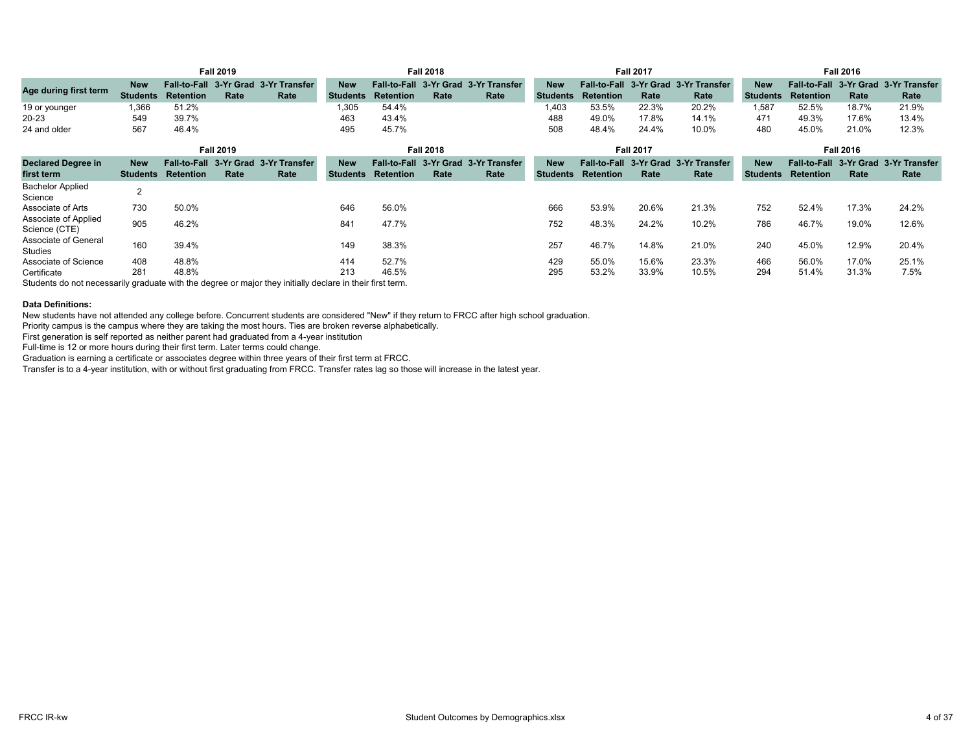|                                       |                               |                                            | <b>Fall 2019</b> |                                      |                               |                  | <b>Fall 2018</b> |                                              |                               |                  | <b>Fall 2017</b> |                                              |                               |                                  | <b>Fall 2016</b> |                                      |
|---------------------------------------|-------------------------------|--------------------------------------------|------------------|--------------------------------------|-------------------------------|------------------|------------------|----------------------------------------------|-------------------------------|------------------|------------------|----------------------------------------------|-------------------------------|----------------------------------|------------------|--------------------------------------|
| Age during first term                 | <b>New</b><br><b>Students</b> | Fall-to-Fall 3-Yr Grad<br><b>Retention</b> | Rate             | 3-Yr Transfer<br>Rate                | <b>New</b><br><b>Students</b> | <b>Retention</b> | Rate             | Fall-to-Fall 3-Yr Grad 3-Yr Transfer<br>Rate | <b>New</b><br><b>Students</b> | <b>Retention</b> | Rate             | Fall-to-Fall 3-Yr Grad 3-Yr Transfer<br>Rate | <b>New</b><br><b>Students</b> | Fall-to-Fall<br><b>Retention</b> | Rate             | 3-Yr Grad 3-Yr Transfer<br>Rate      |
| 19 or younger<br>20-23                | 1,366<br>549                  | 51.2%<br>39.7%                             |                  |                                      | 1,305<br>463                  | 54.4%<br>43.4%   |                  |                                              | 1.403<br>488                  | 53.5%<br>49.0%   | 22.3%<br>17.8%   | 20.2%<br>14.1%                               | 1,587<br>471                  | 52.5%<br>49.3%                   | 18.7%<br>17.6%   | 21.9%<br>13.4%                       |
| 24 and older                          | 567                           | 46.4%                                      |                  |                                      | 495                           | 45.7%            |                  |                                              | 508                           | 48.4%            | 24.4%            | 10.0%                                        | 480                           | 45.0%                            | 21.0%            | 12.3%                                |
|                                       |                               |                                            | <b>Fall 2019</b> |                                      |                               |                  | <b>Fall 2018</b> |                                              |                               |                  | <b>Fall 2017</b> |                                              |                               |                                  | <b>Fall 2016</b> |                                      |
| <b>Declared Degree in</b>             | <b>New</b>                    |                                            |                  | Fall-to-Fall 3-Yr Grad 3-Yr Transfer | <b>New</b>                    |                  |                  | Fall-to-Fall 3-Yr Grad 3-Yr Transfer         | <b>New</b>                    |                  |                  | Fall-to-Fall 3-Yr Grad 3-Yr Transfer         | <b>New</b>                    |                                  |                  | Fall-to-Fall 3-Yr Grad 3-Yr Transfer |
| first term                            | <b>Students</b>               | <b>Retention</b>                           | Rate             | Rate                                 | <b>Students</b>               | <b>Retention</b> | Rate             | Rate                                         | <b>Students</b>               | <b>Retention</b> | Rate             | Rate                                         | <b>Students</b>               | <b>Retention</b>                 | Rate             | Rate                                 |
| <b>Bachelor Applied</b><br>Science    | $\overline{2}$                |                                            |                  |                                      |                               |                  |                  |                                              |                               |                  |                  |                                              |                               |                                  |                  |                                      |
| Associate of Arts                     | 730                           | 50.0%                                      |                  |                                      | 646                           | 56.0%            |                  |                                              | 666                           | 53.9%            | 20.6%            | 21.3%                                        | 752                           | 52.4%                            | 17.3%            | 24.2%                                |
| Associate of Applied<br>Science (CTE) | 905                           | 46.2%                                      |                  |                                      | 841                           | 47.7%            |                  |                                              | 752                           | 48.3%            | 24.2%            | 10.2%                                        | 786                           | 46.7%                            | 19.0%            | 12.6%                                |
| Associate of General<br>Studies       | 160                           | 39.4%                                      |                  |                                      | 149                           | 38.3%            |                  |                                              | 257                           | 46.7%            | 14.8%            | 21.0%                                        | 240                           | 45.0%                            | 12.9%            | 20.4%                                |
| Associate of Science                  | 408                           | 48.8%                                      |                  |                                      | 414                           | 52.7%            |                  |                                              | 429                           | 55.0%            | 15.6%            | 23.3%                                        | 466                           | 56.0%                            | 17.0%            | 25.1%                                |
| Certificate                           | 281                           | 48.8%                                      |                  |                                      | 213<br>.                      | 46.5%            |                  |                                              | 295                           | 53.2%            | 33.9%            | 10.5%                                        | 294                           | 51.4%                            | 31.3%            | 7.5%                                 |

Students do not necessarily graduate with the degree or major they initially declare in their first term.

## **Data Definitions:**

New students have not attended any college before. Concurrent students are considered "New" if they return to FRCC after high school graduation.

Priority campus is the campus where they are taking the most hours. Ties are broken reverse alphabetically.

First generation is self reported as neither parent had graduated from a 4-year institution

Full-time is 12 or more hours during their first term. Later terms could change.

Graduation is earning a certificate or associates degree within three years of their first term at FRCC.

Transfer is to a 4-year institution, with or without first graduating from FRCC. Transfer rates lag so those will increase in the latest year.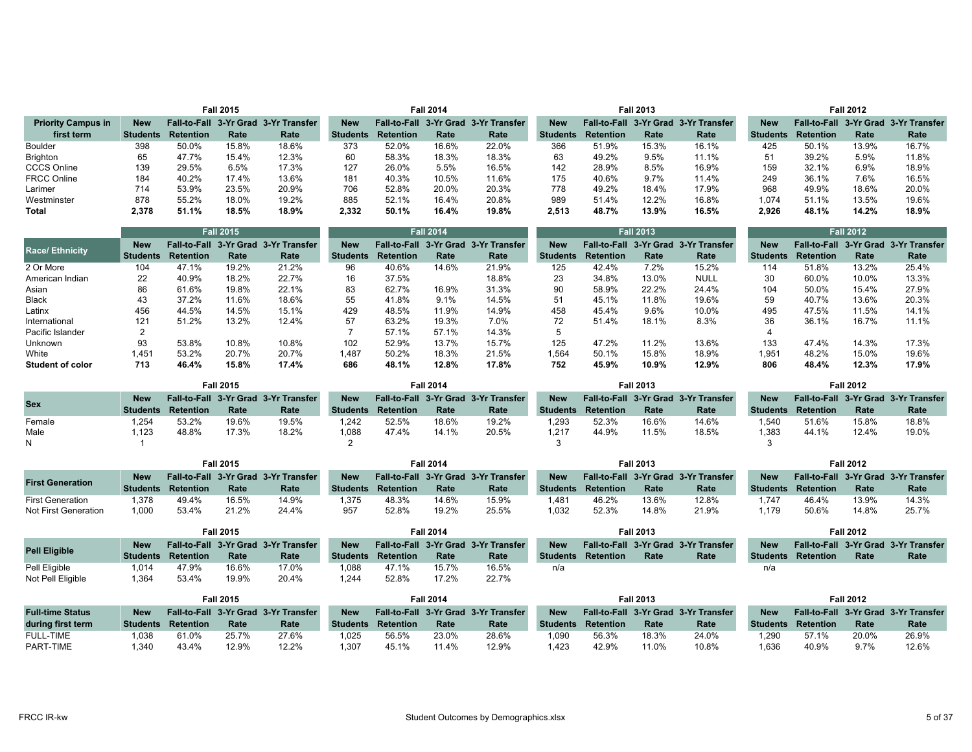|                           |            |           | <b>Fall 2015</b> |                                      |                 |                  | <b>Fall 2014</b> |                                      |                 |           | <b>Fall 2013</b> |                                      |                 |                  | <b>Fall 2012</b> |                                      |
|---------------------------|------------|-----------|------------------|--------------------------------------|-----------------|------------------|------------------|--------------------------------------|-----------------|-----------|------------------|--------------------------------------|-----------------|------------------|------------------|--------------------------------------|
| <b>Priority Campus in</b> | <b>New</b> |           |                  | Fall-to-Fall 3-Yr Grad 3-Yr Transfer | <b>New</b>      |                  |                  | Fall-to-Fall 3-Yr Grad 3-Yr Transfer | <b>New</b>      |           |                  | Fall-to-Fall 3-Yr Grad 3-Yr Transfer | <b>New</b>      |                  |                  | Fall-to-Fall 3-Yr Grad 3-Yr Transfer |
| first term                | Students   | Retention | Rate             | Rate                                 | <b>Students</b> | <b>Retention</b> | Rate             | Rate                                 | <b>Students</b> | Retention | Rate             | Rate                                 | <b>Students</b> | <b>Retention</b> | Rate             | Rate                                 |
| Boulder                   | 398        | 50.0%     | 15.8%            | 18.6%                                | 373             | 52.0%            | 16.6%            | 22.0%                                | 366             | 51.9%     | 15.3%            | 16.1%                                | 425             | 50.1%            | 13.9%            | 16.7%                                |
| Brighton                  | 65         | 47.7%     | 15.4%            | 12.3%                                | 60              | 58.3%            | 18.3%            | 18.3%                                | 63              | 49.2%     | 9.5%             | 11.1%                                | 51              | 39.2%            | 5.9%             | 11.8%                                |
| <b>CCCS Online</b>        | 139        | 29.5%     | 6.5%             | 17.3%                                | 127             | 26.0%            | 5.5%             | 16.5%                                | 142             | 28.9%     | 8.5%             | 16.9%                                | 159             | 32.1%            | 6.9%             | 18.9%                                |
| <b>FRCC Online</b>        | 184        | 40.2%     | 17.4%            | 13.6%                                | 181             | 40.3%            | 10.5%            | 11.6%                                | 175             | 40.6%     | 9.7%             | 11.4%                                | 249             | 36.1%            | 7.6%             | 16.5%                                |
| Larimer                   | 714        | 53.9%     | 23.5%            | 20.9%                                | 706             | 52.8%            | 20.0%            | 20.3%                                | 778             | 49.2%     | 18.4%            | 17.9%                                | 968             | 49.9%            | 18.6%            | 20.0%                                |
| Westminster               | 878        | 55.2%     | 18.0%            | 19.2%                                | 885             | 52.1%            | 16.4%            | 20.8%                                | 989             | 51.4%     | 12.2%            | 16.8%                                | 1.074           | 51.1%            | 13.5%            | 19.6%                                |
| Total                     | 2.378      | 51.1%     | 18.5%            | 18.9%                                | 2,332           | 50.1%            | 16.4%            | 19.8%                                | 2.513           | 48.7%     | 13.9%            | 16.5%                                | 2,926           | 48.1%            | 14.2%            | 18.9%                                |

|                       |            |                  | <b>Fall 2015</b> |                                      |                 |           | <b>Fall 2014</b> |                                      |            |           | <b>Fall 2013</b> |                                      |                 |                  | <b>Fall 2012</b> |                                      |
|-----------------------|------------|------------------|------------------|--------------------------------------|-----------------|-----------|------------------|--------------------------------------|------------|-----------|------------------|--------------------------------------|-----------------|------------------|------------------|--------------------------------------|
| <b>Race/Ethnicity</b> | <b>New</b> |                  |                  | Fall-to-Fall 3-Yr Grad 3-Yr Transfer | <b>New</b>      |           |                  | Fall-to-Fall 3-Yr Grad 3-Yr Transfer | <b>New</b> |           |                  | Fall-to-Fall 3-Yr Grad 3-Yr Transfer | <b>New</b>      |                  |                  | Fall-to-Fall 3-Yr Grad 3-Yr Transfer |
|                       | Students   | <b>Retention</b> | Rate             | Rate                                 | <b>Students</b> | Retention | Rate             | Rate                                 | Students   | Retention | Rate             | Rate                                 | <b>Students</b> | <b>Retention</b> | Rate             | Rate                                 |
| 2 Or More             | 104        | 47.1%            | 19.2%            | 21.2%                                | 96              | 40.6%     | 14.6%            | 21.9%                                | 125        | 42.4%     | 7.2%             | 15.2%                                | 114             | 51.8%            | 13.2%            | 25.4%                                |
| American Indian       | 22         | 40.9%            | 18.2%            | 22.7%                                | 16              | 37.5%     |                  | 18.8%                                | 23         | 34.8%     | 13.0%            | <b>NULL</b>                          | 30              | 60.0%            | 10.0%            | 13.3%                                |
| Asian                 | 86         | 61.6%            | 19.8%            | 22.1%                                | 83              | 62.7%     | 16.9%            | 31.3%                                | 90         | 58.9%     | 22.2%            | 24.4%                                | 104             | 50.0%            | 15.4%            | 27.9%                                |
| <b>Black</b>          | 43         | 37.2%            | 11.6%            | 18.6%                                | 55              | 41.8%     | 9.1%             | 14.5%                                | 51         | 45.1%     | 11.8%            | 19.6%                                | 59              | 40.7%            | 13.6%            | 20.3%                                |
| Latinx                | 456        | 44.5%            | 14.5%            | 15.1%                                | 429             | 48.5%     | 11.9%            | 14.9%                                | 458        | 45.4%     | 9.6%             | 10.0%                                | 495             | 47.5%            | 11.5%            | 14.1%                                |
| International         | 121        | 51.2%            | 13.2%            | 12.4%                                | 57              | 63.2%     | 19.3%            | 7.0%                                 | 72         | 51.4%     | 18.1%            | 8.3%                                 | 36              | 36.1%            | 16.7%            | 11.1%                                |
| Pacific Islander      |            |                  |                  |                                      |                 | 57.1%     | 57.1%            | 14.3%                                |            |           |                  |                                      |                 |                  |                  |                                      |
| Unknown               | 93         | 53.8%            | 10.8%            | 10.8%                                | 102             | 52.9%     | 13.7%            | 15.7%                                | 125        | 47.2%     | 11.2%            | 13.6%                                | 133             | 47.4%            | 14.3%            | 17.3%                                |
| White                 | 1.451      | 53.2%            | 20.7%            | 20.7%                                | 1.487           | 50.2%     | 18.3%            | 21.5%                                | 1.564      | 50.1%     | 15.8%            | 18.9%                                | 1.951           | 48.2%            | 15.0%            | 19.6%                                |
| Student of color      | 713        | 46.4%            | 15.8%            | 17.4%                                | 686             | 48.1%     | 12.8%            | 17.8%                                | 752        | 45.9%     | 10.9%            | 12.9%                                | 806             | 48.4%            | 12.3%            | 17.9%                                |

|            |            |                           | <b>Fall 2015</b> |                                      |                 |                  | <b>Fall 2014</b> |                                      |            |                           | <b>Fall 2013</b> |                                      |                 |           | <b>Fall 2012</b> |                                      |
|------------|------------|---------------------------|------------------|--------------------------------------|-----------------|------------------|------------------|--------------------------------------|------------|---------------------------|------------------|--------------------------------------|-----------------|-----------|------------------|--------------------------------------|
| <b>Sex</b> | <b>New</b> |                           |                  | Fall-to-Fall 3-Yr Grad 3-Yr Transfer | <b>New</b>      |                  |                  | Fall-to-Fall 3-Yr Grad 3-Yr Transfer | <b>New</b> |                           |                  | Fall-to-Fall 3-Yr Grad 3-Yr Transfer | <b>New</b>      |           |                  | Fall-to-Fall 3-Yr Grad 3-Yr Transfer |
|            |            | <b>Students Retention</b> | Rate             | Rate                                 | <b>Students</b> | <b>Retention</b> | Rate             | Rate                                 |            | <b>Students Retention</b> | Rate             | Rate                                 | <b>Students</b> | Retention | Rate             | Rate                                 |
| Female     | .254       | 53.2%                     | 19.6%            | 19.5%                                | 1.242           | 52.5%            | 18.6%            | 19.2%                                | 1.293      | 52.3%                     | 16.6%            | 14.6%                                | 1.540           | 51.6%     | 15.8%            | 18.8%                                |
| Male       | .123       | 48.8%                     | 17.3%            | 18.2%                                | 1.088           | 47.4%            | 14.1%            | 20.5%                                | 1.217      | 44.9%                     | 11.5%            | 18.5%                                | 1.383           | 44.1%     | 12.4%            | 19.0%                                |
|            |            |                           |                  |                                      |                 |                  |                  |                                      |            |                           |                  |                                      |                 |           |                  |                                      |

|                         |            |           | Fall 2015 |                                      |                 |                  | <b>Fall 2014</b> |                                      |                 |                  | Fall 2013 |                                      |                 |                  | <b>Fall 2012</b> |                                      |
|-------------------------|------------|-----------|-----------|--------------------------------------|-----------------|------------------|------------------|--------------------------------------|-----------------|------------------|-----------|--------------------------------------|-----------------|------------------|------------------|--------------------------------------|
|                         | <b>New</b> |           |           | Fall-to-Fall 3-Yr Grad 3-Yr Transfer | <b>New</b>      |                  |                  | Fall-to-Fall 3-Yr Grad 3-Yr Transfer | <b>New</b>      |                  |           | Fall-to-Fall 3-Yr Grad 3-Yr Transfer | <b>New</b>      |                  |                  | Fall-to-Fall 3-Yr Grad 3-Yr Transfer |
| <b>First Generation</b> | Students   | Retention | Rate      | Rate                                 | <b>Students</b> | <b>Retention</b> | Rate             | Rate                                 | <b>Students</b> | <b>Retention</b> | Rate      | Rate                                 | <b>Students</b> | <b>Retention</b> | Rate             | Rate                                 |
| <b>First Generation</b> | 378        | 49.4%     | 16.5%     | 14.9%                                | .375            | 48.3%            | 14.6%            | 15.9%                                | .481            | 46.2%            | 13.6%     | 12.8%                                | .747            | 46.4%            | 13.9%            | 14.3%                                |
| Not First Generation    | 1.000      | 53.4%     | 21.2%     | 24.4%                                | 957             | 52.8%            | 19.2%            | 25.5%                                | 1.032           | 52.3%            | 14.8%     | 21.9%                                | r.179           | 50.6%            | 14.8%            | 25.7%                                |

|                      |            |                           | <b>Fall 2015</b> |                                      |            |           | <b>Fall 2014</b> |                                      |                 |           | <b>Fall 2013</b> |                                      |                 |           | <b>Fall 2012</b> |                                      |
|----------------------|------------|---------------------------|------------------|--------------------------------------|------------|-----------|------------------|--------------------------------------|-----------------|-----------|------------------|--------------------------------------|-----------------|-----------|------------------|--------------------------------------|
|                      | <b>New</b> |                           |                  | Fall-to-Fall 3-Yr Grad 3-Yr Transfer | <b>New</b> |           |                  | Fall-to-Fall 3-Yr Grad 3-Yr Transfer | <b>New</b>      |           |                  | Fall-to-Fall 3-Yr Grad 3-Yr Transfer | <b>New</b>      |           |                  | Fall-to-Fall 3-Yr Grad 3-Yr Transfer |
| <b>Pell Eligible</b> |            | <b>Students Retention</b> | Rate             | Rate                                 | Students   | Retention | Rate             | Rate                                 | <b>Students</b> | Retention | Rate             | Rate                                 | <b>Students</b> | Retention | Rate             | Rate                                 |
| Pell Eligible        | 1.014      | 47.9%                     | 16.6%            | 17.0%                                | 1.088      | 47.1%     | 15.7%            | 16.5%                                | n/a             |           |                  |                                      | n/a             |           |                  |                                      |
| Not Pell Eligible    | .364       | 53.4%                     | 19.9%            | 20.4%                                | 1.244      | 52.8%     | 17.2%            | 22.7%                                |                 |           |                  |                                      |                 |           |                  |                                      |

|                         | <b>Fall 2015</b> |                           |       |                                      | all 2014 <del>:</del> |           |       | Fall 2013                            |                 |                  | Fall 2012 |                                      |                 |                  |       |                                      |
|-------------------------|------------------|---------------------------|-------|--------------------------------------|-----------------------|-----------|-------|--------------------------------------|-----------------|------------------|-----------|--------------------------------------|-----------------|------------------|-------|--------------------------------------|
| <b>Full-time Status</b> | <b>New</b>       |                           |       | Fall-to-Fall 3-Yr Grad 3-Yr Transfer | <b>New</b>            |           |       | Fall-to-Fall 3-Yr Grad 3-Yr Transfer | <b>New</b>      |                  |           | Fall-to-Fall 3-Yr Grad 3-Yr Transfer | <b>New</b>      |                  |       | Fall-to-Fall 3-Yr Grad 3-Yr Transfer |
| during first term       |                  | <b>Students Retention</b> | Rate  | Rate                                 | Students              | Retention | Rate  | Rate                                 | <b>Students</b> | <b>Retention</b> | Rate      | Rate                                 | <b>Students</b> | <b>Retention</b> | Rate  | Rate                                 |
| <b>FULL-TIME</b>        | 1.038            | 61.0%                     | 25.7% | 27.6%                                | .025                  | 56.5%     | 23.0% | 28.6%                                | 1.090           | 56.3%            | 18.3%     | 24.0%                                | 1.290           | 57.1%            | 20.0% | 26.9%                                |
| PART-TIME               | .340             | 43.4%                     | 12.9% | 12.2%                                | 1.307                 | 45.1%     | 11.4% | 12.9%                                | .423            | 42.9%            | 11.0%     | 10.8%                                | 1.636           | 40.9%            | 9.7%  | 12.6%                                |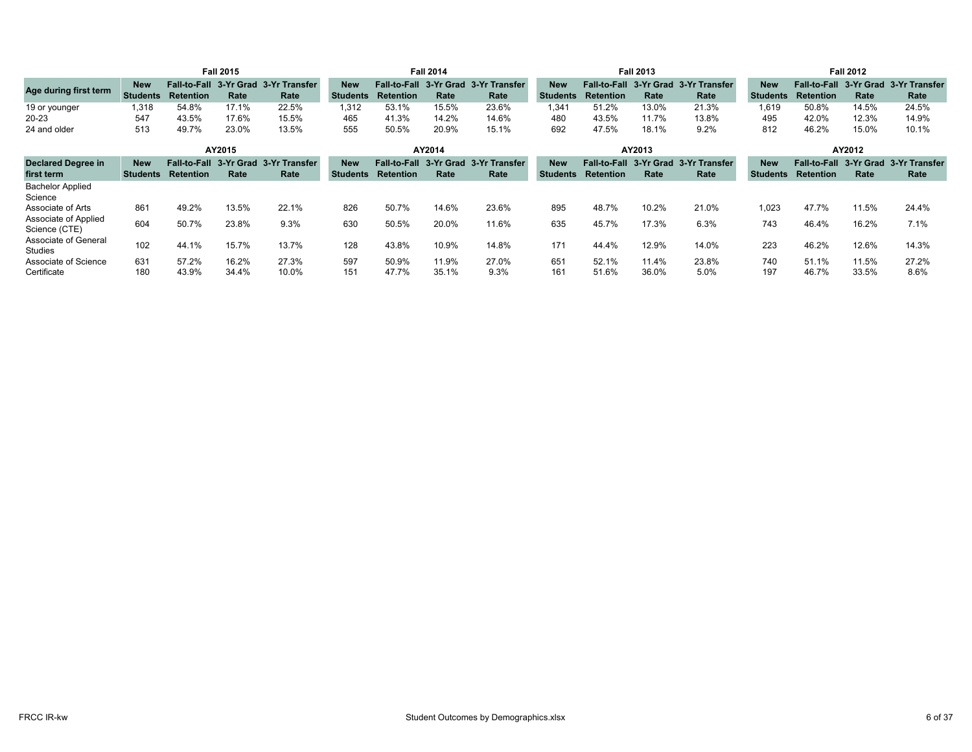|                                            | <b>Fall 2015</b>              |                                            |                         | <b>Fall 2014</b>                     |                               |                                         | <b>Fall 2013</b>        |                         |                               | <b>Fall 2012</b>                        |                         |                        |                               |                                         |                         |                                 |
|--------------------------------------------|-------------------------------|--------------------------------------------|-------------------------|--------------------------------------|-------------------------------|-----------------------------------------|-------------------------|-------------------------|-------------------------------|-----------------------------------------|-------------------------|------------------------|-------------------------------|-----------------------------------------|-------------------------|---------------------------------|
| Age during first term                      | <b>New</b><br><b>Students</b> | Fall-to-Fall 3-Yr Grad<br><b>Retention</b> | Rate                    | 3-Yr Transfer<br>Rate                | <b>New</b><br><b>Students</b> | <b>Fall-to-Fall</b><br><b>Retention</b> | 3-Yr Grad<br>Rate       | 3-Yr Transfer<br>Rate   | <b>New</b><br><b>Students</b> | <b>Fall-to-Fall</b><br><b>Retention</b> | 3-Yr Grad<br>Rate       | 3-Yr Transfer<br>Rate  | <b>New</b><br><b>Students</b> | <b>Fall-to-Fall</b><br><b>Retention</b> | Rate                    | 3-Yr Grad 3-Yr Transfer<br>Rate |
| 19 or younger<br>$20 - 23$<br>24 and older | 1,318<br>547<br>513           | 54.8%<br>43.5%<br>49.7%                    | 17.1%<br>17.6%<br>23.0% | 22.5%<br>15.5%<br>13.5%              | 1.312<br>465<br>555           | 53.1%<br>41.3%<br>50.5%                 | 15.5%<br>14.2%<br>20.9% | 23.6%<br>14.6%<br>15.1% | 1.341<br>480<br>692           | 51.2%<br>43.5%<br>47.5%                 | 13.0%<br>11.7%<br>18.1% | 21.3%<br>13.8%<br>9.2% | 1,619<br>495<br>812           | 50.8%<br>42.0%<br>46.2%                 | 14.5%<br>12.3%<br>15.0% | 24.5%<br>14.9%<br>10.1%         |
|                                            |                               |                                            | AY2015                  |                                      |                               |                                         | AY2014                  |                         |                               |                                         | AY2013                  |                        |                               |                                         | AY2012                  |                                 |
| <b>Declared Degree in</b>                  | <b>New</b>                    |                                            |                         | Fall-to-Fall 3-Yr Grad 3-Yr Transfer | <b>New</b>                    | <b>Fall-to-Fall</b>                     |                         | 3-Yr Grad 3-Yr Transfer | <b>New</b>                    | <b>Fall-to-Fall</b>                     | 3-Yr Grad               | 3-Yr Transfer          | <b>New</b>                    | <b>Fall-to-Fall</b>                     |                         | 3-Yr Grad 3-Yr Transfer         |
| first term                                 | <b>Students</b>               | <b>Retention</b>                           | Rate                    | Rate                                 | <b>Students</b>               | <b>Retention</b>                        | Rate                    | Rate                    | <b>Students</b>               | Retention                               | Rate                    | Rate                   | <b>Students</b>               | <b>Retention</b>                        | Rate                    | Rate                            |
| <b>Bachelor Applied</b><br>Science         |                               |                                            |                         |                                      |                               |                                         |                         |                         |                               |                                         |                         |                        |                               |                                         |                         |                                 |
| Associate of Arts                          | 861                           | 49.2%                                      | 13.5%                   | 22.1%                                | 826                           | 50.7%                                   | 14.6%                   | 23.6%                   | 895                           | 48.7%                                   | 10.2%                   | 21.0%                  | 1,023                         | 47.7%                                   | 11.5%                   | 24.4%                           |
| Associate of Applied<br>Science (CTE)      | 604                           | 50.7%                                      | 23.8%                   | 9.3%                                 | 630                           | 50.5%                                   | 20.0%                   | 11.6%                   | 635                           | 45.7%                                   | 17.3%                   | 6.3%                   | 743                           | 46.4%                                   | 16.2%                   | 7.1%                            |
| Associate of General<br>Studies            | 102                           | 44.1%                                      | 15.7%                   | 13.7%                                | 128                           | 43.8%                                   | 10.9%                   | 14.8%                   | 171                           | 44.4%                                   | 12.9%                   | 14.0%                  | 223                           | 46.2%                                   | 12.6%                   | 14.3%                           |
| Associate of Science<br>Certificate        | 631<br>180                    | 57.2%<br>43.9%                             | 16.2%<br>34.4%          | 27.3%<br>10.0%                       | 597<br>151                    | 50.9%<br>47.7%                          | 11.9%<br>35.1%          | 27.0%<br>9.3%           | 651<br>161                    | 52.1%<br>51.6%                          | 11.4%<br>36.0%          | 23.8%<br>5.0%          | 740<br>197                    | 51.1%<br>46.7%                          | 11.5%<br>33.5%          | 27.2%<br>8.6%                   |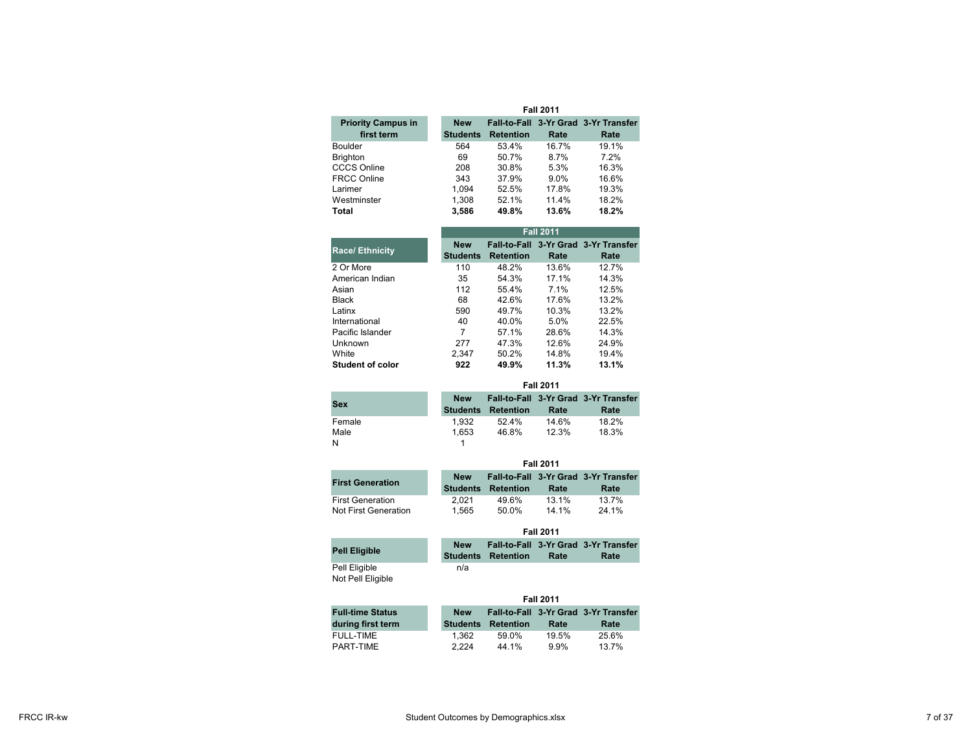|                                         | <b>Fall 2011</b>              |                  |         |                                              |  |  |  |
|-----------------------------------------|-------------------------------|------------------|---------|----------------------------------------------|--|--|--|
| <b>Priority Campus in</b><br>first term | <b>New</b><br><b>Students</b> | <b>Retention</b> | Rate    | Fall-to-Fall 3-Yr Grad 3-Yr Transfer<br>Rate |  |  |  |
| <b>Boulder</b>                          | 564                           | 53.4%            | 16.7%   | 19.1%                                        |  |  |  |
| <b>Brighton</b>                         | 69                            | 50.7%            | 8.7%    | 7.2%                                         |  |  |  |
| <b>CCCS Online</b>                      | 208                           | 30.8%            | 5.3%    | 16.3%                                        |  |  |  |
| <b>FRCC Online</b>                      | 343                           | 37.9%            | $9.0\%$ | 16.6%                                        |  |  |  |
| Larimer                                 | 1.094                         | 52.5%            | 17.8%   | 19.3%                                        |  |  |  |
| Westminster                             | 1.308                         | 52.1%            | 11.4%   | 18.2%                                        |  |  |  |
| <b>Total</b>                            | 3,586                         | 49.8%            | 13.6%   | 18.2%                                        |  |  |  |

|                         |                               | <b>Fall 2011</b> |       |                                              |  |  |  |  |
|-------------------------|-------------------------------|------------------|-------|----------------------------------------------|--|--|--|--|
| <b>Race/Ethnicity</b>   | <b>New</b><br><b>Students</b> | <b>Retention</b> | Rate  | Fall-to-Fall 3-Yr Grad 3-Yr Transfer<br>Rate |  |  |  |  |
| 2 Or More               | 110                           | 48.2%            | 13.6% | 12.7%                                        |  |  |  |  |
| American Indian         | 35                            | 54.3%            | 17.1% | 14.3%                                        |  |  |  |  |
| Asian                   | 112                           | 55.4%            | 7.1%  | 12.5%                                        |  |  |  |  |
| <b>Black</b>            | 68                            | 42.6%            | 17.6% | 13.2%                                        |  |  |  |  |
| Latinx                  | 590                           | 49.7%            | 10.3% | 13.2%                                        |  |  |  |  |
| International           | 40                            | 40.0%            | 5.0%  | 22.5%                                        |  |  |  |  |
| Pacific Islander        | 7                             | 57.1%            | 28.6% | 14.3%                                        |  |  |  |  |
| Unknown                 | 277                           | 47.3%            | 12.6% | 24.9%                                        |  |  |  |  |
| White                   | 2.347                         | 50.2%            | 14.8% | 19.4%                                        |  |  |  |  |
| <b>Student of color</b> | 922                           | 49.9%            | 11.3% | 13.1%                                        |  |  |  |  |

|        | <b>Fall 2011</b>              |           |       |                                              |  |  |  |
|--------|-------------------------------|-----------|-------|----------------------------------------------|--|--|--|
| Sex    | <b>New</b><br><b>Students</b> | Retention | Rate  | Fall-to-Fall 3-Yr Grad 3-Yr Transfer<br>Rate |  |  |  |
| Female | 1.932                         | 52.4%     | 14.6% | 18.2%                                        |  |  |  |
| Male   | 1.653                         | 46.8%     | 12.3% | 18.3%                                        |  |  |  |
| И      |                               |           |       |                                              |  |  |  |

|                                          |                               | <b>Fall 2011</b> |                |                                              |  |  |  |  |
|------------------------------------------|-------------------------------|------------------|----------------|----------------------------------------------|--|--|--|--|
| <b>First Generation</b>                  | <b>New</b><br><b>Students</b> | <b>Retention</b> | Rate           | Fall-to-Fall 3-Yr Grad 3-Yr Transfer<br>Rate |  |  |  |  |
| First Generation<br>Not First Generation | 2.021<br>1.565                | 49.6%<br>50.0%   | 13 1%<br>14 1% | 13.7%<br>24 1%                               |  |  |  |  |

|                                    | <b>Fall 2011</b> |                           |      |                                              |  |  |
|------------------------------------|------------------|---------------------------|------|----------------------------------------------|--|--|
| <b>Pell Eligible</b>               | <b>New</b>       | <b>Students Retention</b> | Rate | Fall-to-Fall 3-Yr Grad 3-Yr Transfer<br>Rate |  |  |
| Pell Eligible<br>Not Pell Eligible | n/a              |                           |      |                                              |  |  |

|                         |                 | <b>Fall 2011</b> |         |                                      |  |  |  |
|-------------------------|-----------------|------------------|---------|--------------------------------------|--|--|--|
| <b>Full-time Status</b> | <b>New</b>      |                  |         | Fall-to-Fall 3-Yr Grad 3-Yr Transfer |  |  |  |
| during first term       | <b>Students</b> | <b>Retention</b> | Rate    | Rate                                 |  |  |  |
| FULL-TIME               | 1.362           | 59.0%            | 19.5%   | 25.6%                                |  |  |  |
| PART-TIME               | 2.224           | 44.1%            | $9.9\%$ | 13.7%                                |  |  |  |